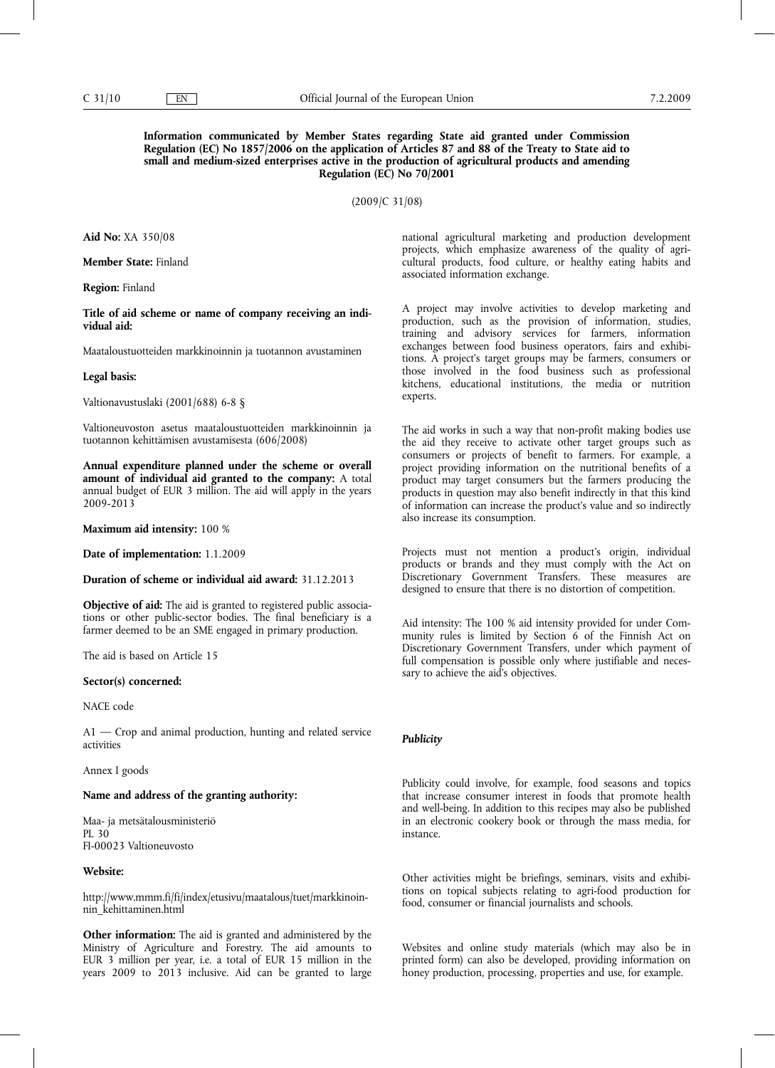## **Information communicated by Member States regarding State aid granted under Commission Regulation (EC) No 1857/2006 on the application of Articles 87 and 88 of the Treaty to State aid to small and medium-sized enterprises active in the production of agricultural products and amending Regulation (EC) No 70/2001**

(2009/C 31/08)

**Aid No:** XA 350/08

**Member State:** Finland

**Region:** Finland

**Title of aid scheme or name of company receiving an individual aid:**

Maataloustuotteiden markkinoinnin ja tuotannon avustaminen

#### **Legal basis:**

Valtionavustuslaki (2001/688) 6-8 §

Valtioneuvoston asetus maataloustuotteiden markkinoinnin ja tuotannon kehittämisen avustamisesta (606/2008)

**Annual expenditure planned under the scheme or overall amount of individual aid granted to the company:** A total annual budget of EUR 3 million. The aid will apply in the years 2009-2013

**Maximum aid intensity:** 100 %

**Date of implementation:** 1.1.2009

### **Duration of scheme or individual aid award:** 31.12.2013

**Objective of aid:** The aid is granted to registered public associations or other public-sector bodies. The final beneficiary is a farmer deemed to be an SME engaged in primary production.

The aid is based on Article 15

### **Sector(s) concerned:**

NACE code

A1 — Crop and animal production, hunting and related service activities

Annex I goods

### **Name and address of the granting authority:**

Maa- ja metsätalousministeriö PL 30 FI-00023 Valtioneuvosto

## **Website:**

http://www.mmm.fi/fi/index/etusivu/maatalous/tuet/markkinoinnin\_kehittaminen.html

**Other information:** The aid is granted and administered by the Ministry of Agriculture and Forestry. The aid amounts to EUR 3 million per year, i.e. a total of EUR 15 million in the years 2009 to 2013 inclusive. Aid can be granted to large national agricultural marketing and production development projects, which emphasize awareness of the quality of agricultural products, food culture, or healthy eating habits and associated information exchange.

A project may involve activities to develop marketing and production, such as the provision of information, studies, training and advisory services for farmers, information exchanges between food business operators, fairs and exhibitions. A project's target groups may be farmers, consumers or those involved in the food business such as professional kitchens, educational institutions, the media or nutrition experts.

The aid works in such a way that non-profit making bodies use the aid they receive to activate other target groups such as consumers or projects of benefit to farmers. For example, a project providing information on the nutritional benefits of a product may target consumers but the farmers producing the products in question may also benefit indirectly in that this kind of information can increase the product's value and so indirectly also increase its consumption.

Projects must not mention a product's origin, individual products or brands and they must comply with the Act on Discretionary Government Transfers. These measures are designed to ensure that there is no distortion of competition.

Aid intensity: The 100 % aid intensity provided for under Community rules is limited by Section 6 of the Finnish Act on Discretionary Government Transfers, under which payment of full compensation is possible only where justifiable and necessary to achieve the aid's objectives.

#### *Publicity*

Publicity could involve, for example, food seasons and topics that increase consumer interest in foods that promote health and well-being. In addition to this recipes may also be published in an electronic cookery book or through the mass media, for instance.

Other activities might be briefings, seminars, visits and exhibitions on topical subjects relating to agri-food production for food, consumer or financial journalists and schools.

Websites and online study materials (which may also be in printed form) can also be developed, providing information on honey production, processing, properties and use, for example.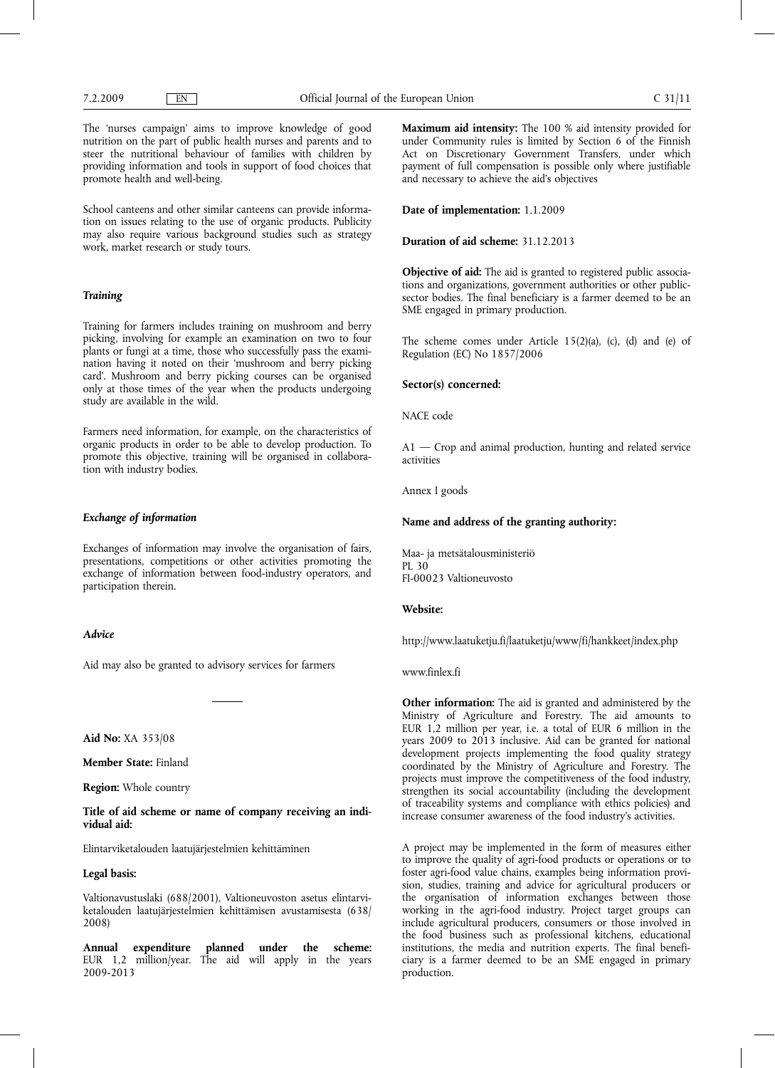The 'nurses campaign' aims to improve knowledge of good nutrition on the part of public health nurses and parents and to steer the nutritional behaviour of families with children by providing information and tools in support of food choices that promote health and well-being.

School canteens and other similar canteens can provide information on issues relating to the use of organic products. Publicity may also require various background studies such as strategy work, market research or study tours.

#### *Training*

Training for farmers includes training on mushroom and berry picking, involving for example an examination on two to four plants or fungi at a time, those who successfully pass the examination having it noted on their 'mushroom and berry picking card'. Mushroom and berry picking courses can be organised only at those times of the year when the products undergoing study are available in the wild.

Farmers need information, for example, on the characteristics of organic products in order to be able to develop production. To promote this objective, training will be organised in collaboration with industry bodies.

### *Exchange of information*

Exchanges of information may involve the organisation of fairs, presentations, competitions or other activities promoting the exchange of information between food-industry operators, and participation therein.

#### *Advice*

Aid may also be granted to advisory services for farmers

**Aid No:** XA 353/08

**Member State:** Finland

**Region:** Whole country

## **Title of aid scheme or name of company receiving an individual aid:**

Elintarviketalouden laatujärjestelmien kehittäminen

### **Legal basis:**

Valtionavustuslaki (688/2001), Valtioneuvoston asetus elintarviketalouden laatujärjestelmien kehittämisen avustamisesta (638/ 2008)

**Annual expenditure planned under the scheme:** EUR 1,2 million/year. The aid will apply in the years 2009-2013

**Maximum aid intensity:** The 100 % aid intensity provided for under Community rules is limited by Section 6 of the Finnish Act on Discretionary Government Transfers, under which payment of full compensation is possible only where justifiable and necessary to achieve the aid's objectives

**Date of implementation:** 1.1.2009

#### **Duration of aid scheme:** 31.12.2013

**Objective of aid:** The aid is granted to registered public associations and organizations, government authorities or other publicsector bodies. The final beneficiary is a farmer deemed to be an SME engaged in primary production.

The scheme comes under Article 15(2)(a), (c), (d) and (e) of Regulation (EC) No 1857/2006

### **Sector(s) concerned:**

NACE code

A1 — Crop and animal production, hunting and related service activities

Annex I goods

### **Name and address of the granting authority:**

Maa- ja metsätalousministeriö PL 30 FI-00023 Valtioneuvosto

#### **Website:**

http://www.laatuketju.fi/laatuketju/www/fi/hankkeet/index.php

#### www.finlex.fi

**Other information:** The aid is granted and administered by the Ministry of Agriculture and Forestry. The aid amounts to EUR 1,2 million per year, i.e. a total of EUR 6 million in the years 2009 to 2013 inclusive. Aid can be granted for national development projects implementing the food quality strategy coordinated by the Ministry of Agriculture and Forestry. The projects must improve the competitiveness of the food industry, strengthen its social accountability (including the development of traceability systems and compliance with ethics policies) and increase consumer awareness of the food industry's activities.

A project may be implemented in the form of measures either to improve the quality of agri-food products or operations or to foster agri-food value chains, examples being information provision, studies, training and advice for agricultural producers or the organisation of information exchanges between those working in the agri-food industry. Project target groups can include agricultural producers, consumers or those involved in the food business such as professional kitchens, educational institutions, the media and nutrition experts. The final beneficiary is a farmer deemed to be an SME engaged in primary production.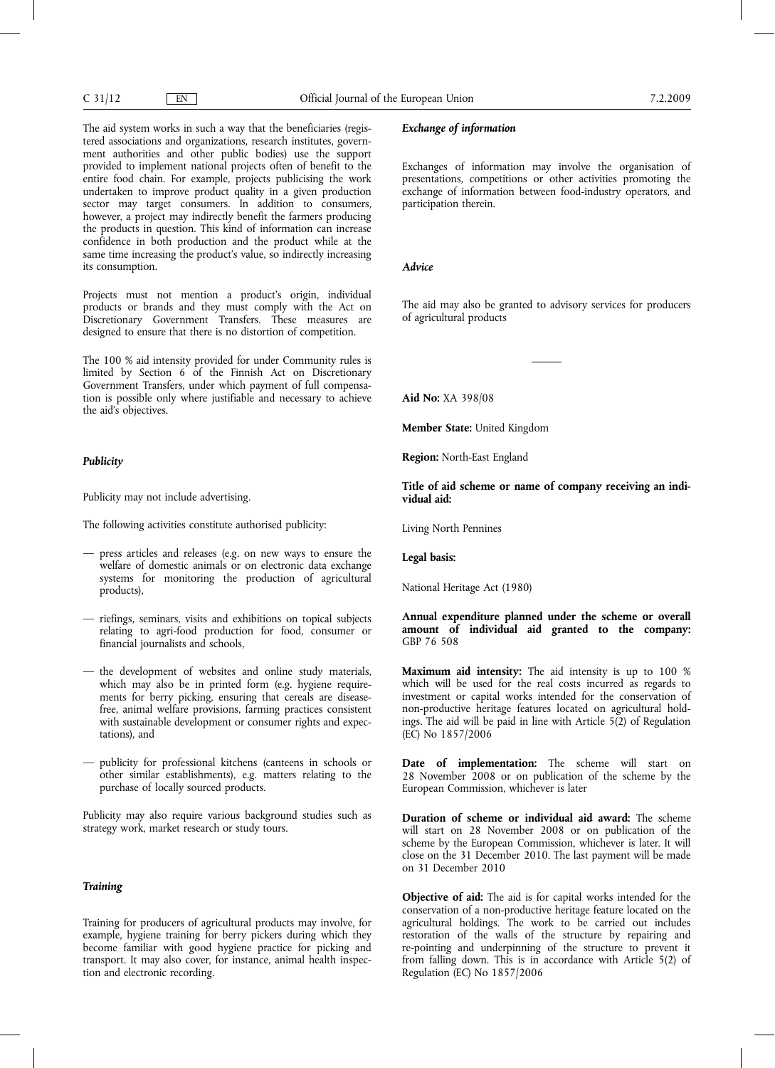The aid system works in such a way that the beneficiaries (registered associations and organizations, research institutes, government authorities and other public bodies) use the support provided to implement national projects often of benefit to the entire food chain. For example, projects publicising the work undertaken to improve product quality in a given production sector may target consumers. In addition to consumers, however, a project may indirectly benefit the farmers producing the products in question. This kind of information can increase confidence in both production and the product while at the same time increasing the product's value, so indirectly increasing its consumption.

Projects must not mention a product's origin, individual products or brands and they must comply with the Act on Discretionary Government Transfers. These measures are designed to ensure that there is no distortion of competition.

The 100 % aid intensity provided for under Community rules is limited by Section 6 of the Finnish Act on Discretionary Government Transfers, under which payment of full compensation is possible only where justifiable and necessary to achieve the aid's objectives.

#### *Publicity*

Publicity may not include advertising.

The following activities constitute authorised publicity:

- press articles and releases (e.g. on new ways to ensure the welfare of domestic animals or on electronic data exchange systems for monitoring the production of agricultural products),
- riefings, seminars, visits and exhibitions on topical subjects relating to agri-food production for food, consumer or financial journalists and schools,
- the development of websites and online study materials, which may also be in printed form (e.g. hygiene requirements for berry picking, ensuring that cereals are diseasefree, animal welfare provisions, farming practices consistent with sustainable development or consumer rights and expectations), and
- publicity for professional kitchens (canteens in schools or other similar establishments), e.g. matters relating to the purchase of locally sourced products.

Publicity may also require various background studies such as strategy work, market research or study tours.

# *Training*

Training for producers of agricultural products may involve, for example, hygiene training for berry pickers during which they become familiar with good hygiene practice for picking and transport. It may also cover, for instance, animal health inspection and electronic recording.

## *Exchange of information*

Exchanges of information may involve the organisation of presentations, competitions or other activities promoting the exchange of information between food-industry operators, and participation therein.

### *Advice*

The aid may also be granted to advisory services for producers of agricultural products

**Aid No:** XA 398/08

**Member State:** United Kingdom

**Region:** North-East England

**Title of aid scheme or name of company receiving an individual aid:**

Living North Pennines

#### **Legal basis:**

National Heritage Act (1980)

## **Annual expenditure planned under the scheme or overall amount of individual aid granted to the company:** GBP 76 508

**Maximum aid intensity:** The aid intensity is up to 100 % which will be used for the real costs incurred as regards to investment or capital works intended for the conservation of non-productive heritage features located on agricultural holdings. The aid will be paid in line with Article 5(2) of Regulation (EC) No 1857/2006

**Date of implementation:** The scheme will start on 28 November 2008 or on publication of the scheme by the European Commission, whichever is later

**Duration of scheme or individual aid award:** The scheme will start on 28 November 2008 or on publication of the scheme by the European Commission, whichever is later. It will close on the 31 December 2010. The last payment will be made on 31 December 2010

**Objective of aid:** The aid is for capital works intended for the conservation of a non-productive heritage feature located on the agricultural holdings. The work to be carried out includes restoration of the walls of the structure by repairing and re-pointing and underpinning of the structure to prevent it from falling down. This is in accordance with Article 5(2) of Regulation (EC) No 1857/2006